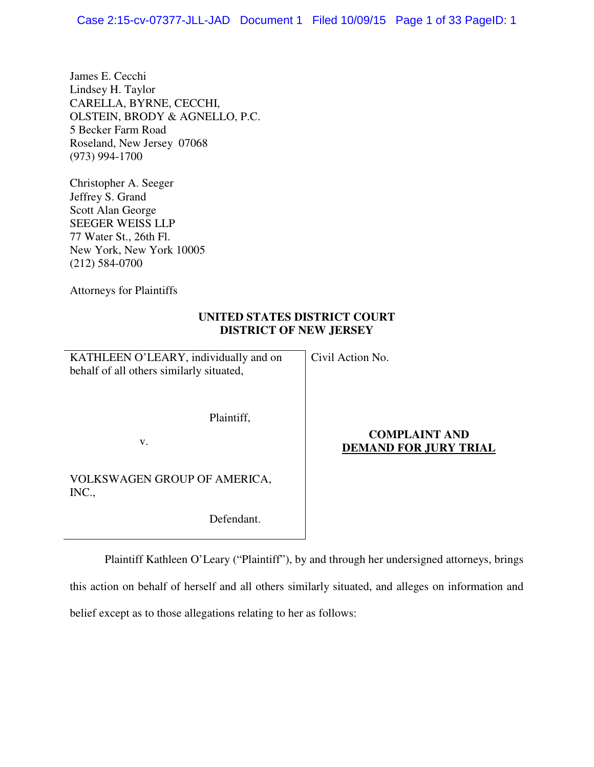James E. Cecchi Lindsey H. Taylor CARELLA, BYRNE, CECCHI, OLSTEIN, BRODY & AGNELLO, P.C. 5 Becker Farm Road Roseland, New Jersey 07068 (973) 994-1700

Christopher A. Seeger Jeffrey S. Grand Scott Alan George SEEGER WEISS LLP 77 Water St., 26th Fl. New York, New York 10005 (212) 584-0700

Attorneys for Plaintiffs

## **UNITED STATES DISTRICT COURT DISTRICT OF NEW JERSEY**

KATHLEEN O'LEARY, individually and on behalf of all others similarly situated,

Civil Action No.

Plaintiff,

v.

VOLKSWAGEN GROUP OF AMERICA, INC.,

Defendant.

## **COMPLAINT AND DEMAND FOR JURY TRIAL**

Plaintiff Kathleen O'Leary ("Plaintiff"), by and through her undersigned attorneys, brings

this action on behalf of herself and all others similarly situated, and alleges on information and

belief except as to those allegations relating to her as follows: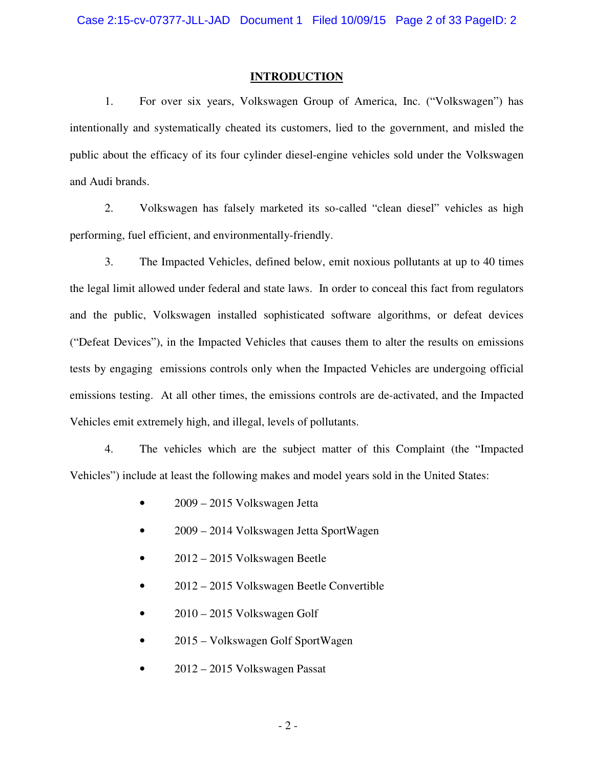### **INTRODUCTION**

1. For over six years, Volkswagen Group of America, Inc. ("Volkswagen") has intentionally and systematically cheated its customers, lied to the government, and misled the public about the efficacy of its four cylinder diesel-engine vehicles sold under the Volkswagen and Audi brands.

2. Volkswagen has falsely marketed its so-called "clean diesel" vehicles as high performing, fuel efficient, and environmentally-friendly.

3. The Impacted Vehicles, defined below, emit noxious pollutants at up to 40 times the legal limit allowed under federal and state laws. In order to conceal this fact from regulators and the public, Volkswagen installed sophisticated software algorithms, or defeat devices ("Defeat Devices"), in the Impacted Vehicles that causes them to alter the results on emissions tests by engaging emissions controls only when the Impacted Vehicles are undergoing official emissions testing. At all other times, the emissions controls are de-activated, and the Impacted Vehicles emit extremely high, and illegal, levels of pollutants.

4. The vehicles which are the subject matter of this Complaint (the "Impacted Vehicles") include at least the following makes and model years sold in the United States:

- 2009 2015 Volkswagen Jetta
- 2009 2014 Volkswagen Jetta SportWagen
- 2012 2015 Volkswagen Beetle
- 2012 2015 Volkswagen Beetle Convertible
- $2010 2015$  Volkswagen Golf
- 2015 Volkswagen Golf SportWagen
- 2012 2015 Volkswagen Passat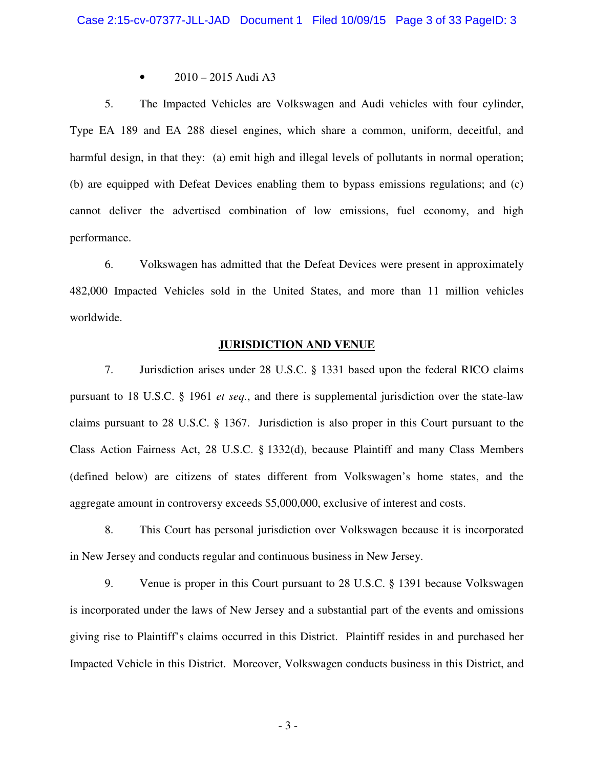• 2010 – 2015 Audi A3

5. The Impacted Vehicles are Volkswagen and Audi vehicles with four cylinder, Type EA 189 and EA 288 diesel engines, which share a common, uniform, deceitful, and harmful design, in that they: (a) emit high and illegal levels of pollutants in normal operation; (b) are equipped with Defeat Devices enabling them to bypass emissions regulations; and (c) cannot deliver the advertised combination of low emissions, fuel economy, and high performance.

6. Volkswagen has admitted that the Defeat Devices were present in approximately 482,000 Impacted Vehicles sold in the United States, and more than 11 million vehicles worldwide.

#### **JURISDICTION AND VENUE**

7. Jurisdiction arises under 28 U.S.C. § 1331 based upon the federal RICO claims pursuant to 18 U.S.C. § 1961 *et seq.*, and there is supplemental jurisdiction over the state-law claims pursuant to 28 U.S.C. § 1367. Jurisdiction is also proper in this Court pursuant to the Class Action Fairness Act, 28 U.S.C. § 1332(d), because Plaintiff and many Class Members (defined below) are citizens of states different from Volkswagen's home states, and the aggregate amount in controversy exceeds \$5,000,000, exclusive of interest and costs.

8. This Court has personal jurisdiction over Volkswagen because it is incorporated in New Jersey and conducts regular and continuous business in New Jersey.

9. Venue is proper in this Court pursuant to 28 U.S.C. § 1391 because Volkswagen is incorporated under the laws of New Jersey and a substantial part of the events and omissions giving rise to Plaintiff's claims occurred in this District. Plaintiff resides in and purchased her Impacted Vehicle in this District. Moreover, Volkswagen conducts business in this District, and

- 3 -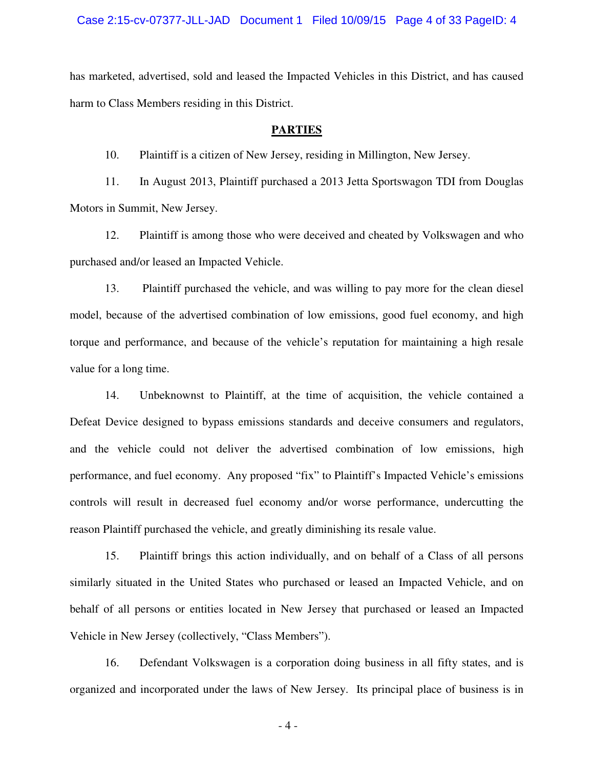Case 2:15-cv-07377-JLL-JAD Document 1 Filed 10/09/15 Page 4 of 33 PageID: 4

has marketed, advertised, sold and leased the Impacted Vehicles in this District, and has caused harm to Class Members residing in this District.

### **PARTIES**

10. Plaintiff is a citizen of New Jersey, residing in Millington, New Jersey.

11. In August 2013, Plaintiff purchased a 2013 Jetta Sportswagon TDI from Douglas Motors in Summit, New Jersey.

12. Plaintiff is among those who were deceived and cheated by Volkswagen and who purchased and/or leased an Impacted Vehicle.

13. Plaintiff purchased the vehicle, and was willing to pay more for the clean diesel model, because of the advertised combination of low emissions, good fuel economy, and high torque and performance, and because of the vehicle's reputation for maintaining a high resale value for a long time.

14. Unbeknownst to Plaintiff, at the time of acquisition, the vehicle contained a Defeat Device designed to bypass emissions standards and deceive consumers and regulators, and the vehicle could not deliver the advertised combination of low emissions, high performance, and fuel economy. Any proposed "fix" to Plaintiff's Impacted Vehicle's emissions controls will result in decreased fuel economy and/or worse performance, undercutting the reason Plaintiff purchased the vehicle, and greatly diminishing its resale value.

15. Plaintiff brings this action individually, and on behalf of a Class of all persons similarly situated in the United States who purchased or leased an Impacted Vehicle, and on behalf of all persons or entities located in New Jersey that purchased or leased an Impacted Vehicle in New Jersey (collectively, "Class Members").

16. Defendant Volkswagen is a corporation doing business in all fifty states, and is organized and incorporated under the laws of New Jersey. Its principal place of business is in

- 4 -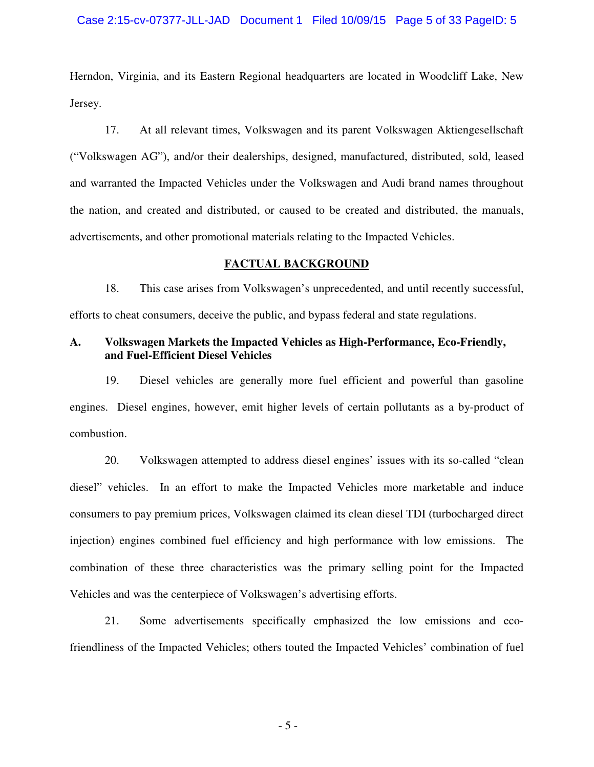#### Case 2:15-cv-07377-JLL-JAD Document 1 Filed 10/09/15 Page 5 of 33 PageID: 5

Herndon, Virginia, and its Eastern Regional headquarters are located in Woodcliff Lake, New Jersey.

17. At all relevant times, Volkswagen and its parent Volkswagen Aktiengesellschaft ("Volkswagen AG"), and/or their dealerships, designed, manufactured, distributed, sold, leased and warranted the Impacted Vehicles under the Volkswagen and Audi brand names throughout the nation, and created and distributed, or caused to be created and distributed, the manuals, advertisements, and other promotional materials relating to the Impacted Vehicles.

### **FACTUAL BACKGROUND**

18. This case arises from Volkswagen's unprecedented, and until recently successful, efforts to cheat consumers, deceive the public, and bypass federal and state regulations.

## **A. Volkswagen Markets the Impacted Vehicles as High-Performance, Eco-Friendly, and Fuel-Efficient Diesel Vehicles**

19. Diesel vehicles are generally more fuel efficient and powerful than gasoline engines. Diesel engines, however, emit higher levels of certain pollutants as a by-product of combustion.

20. Volkswagen attempted to address diesel engines' issues with its so-called "clean diesel" vehicles. In an effort to make the Impacted Vehicles more marketable and induce consumers to pay premium prices, Volkswagen claimed its clean diesel TDI (turbocharged direct injection) engines combined fuel efficiency and high performance with low emissions. The combination of these three characteristics was the primary selling point for the Impacted Vehicles and was the centerpiece of Volkswagen's advertising efforts.

21. Some advertisements specifically emphasized the low emissions and ecofriendliness of the Impacted Vehicles; others touted the Impacted Vehicles' combination of fuel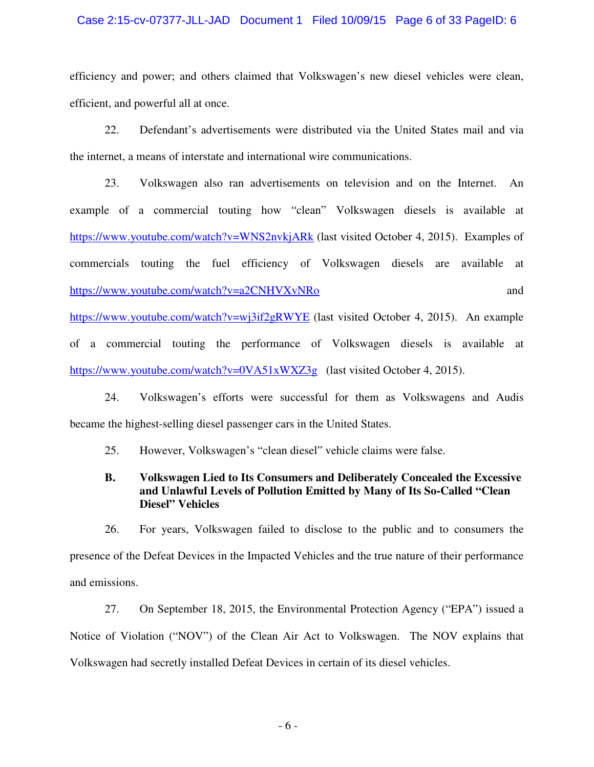### Case 2:15-cv-07377-JLL-JAD Document 1 Filed 10/09/15 Page 6 of 33 PageID: 6

efficiency and power; and others claimed that Volkswagen's new diesel vehicles were clean, efficient, and powerful all at once.

22. Defendant's advertisements were distributed via the United States mail and via the internet, a means of interstate and international wire communications.

23. Volkswagen also ran advertisements on television and on the Internet. An example of a commercial touting how "clean" Volkswagen diesels is available at https://www.youtube.com/watch?v=WNS2nvkjARk (last visited October 4, 2015). Examples of commercials touting the fuel efficiency of Volkswagen diesels are available at https://www.youtube.com/watch?v=a2CNHVXvNRo and

https://www.youtube.com/watch?v=wj3if2gRWYE (last visited October 4, 2015). An example of a commercial touting the performance of Volkswagen diesels is available at https://www.youtube.com/watch?v=0VA51xWXZ3g (last visited October 4, 2015).

24. Volkswagen's efforts were successful for them as Volkswagens and Audis became the highest-selling diesel passenger cars in the United States.

25. However, Volkswagen's "clean diesel" vehicle claims were false.

## **B. Volkswagen Lied to Its Consumers and Deliberately Concealed the Excessive and Unlawful Levels of Pollution Emitted by Many of Its So-Called "Clean Diesel" Vehicles**

26. For years, Volkswagen failed to disclose to the public and to consumers the presence of the Defeat Devices in the Impacted Vehicles and the true nature of their performance and emissions.

27. On September 18, 2015, the Environmental Protection Agency ("EPA") issued a Notice of Violation ("NOV") of the Clean Air Act to Volkswagen. The NOV explains that Volkswagen had secretly installed Defeat Devices in certain of its diesel vehicles.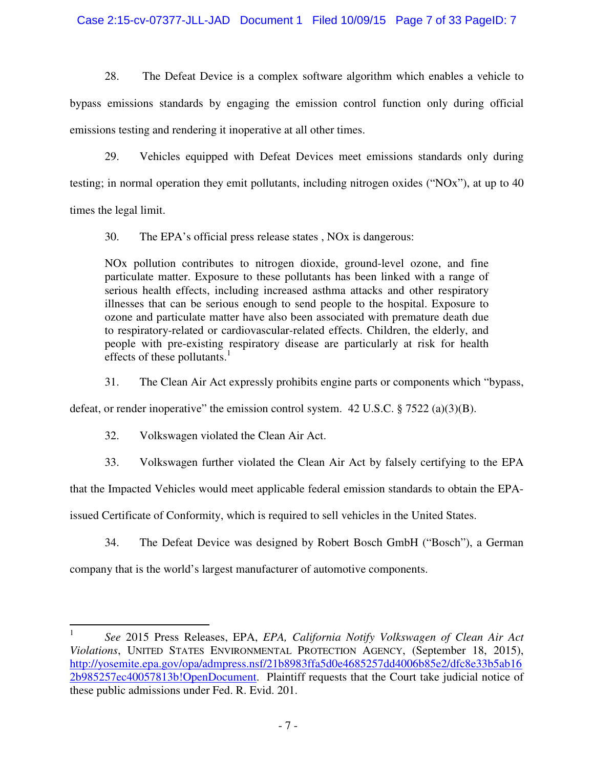## Case 2:15-cv-07377-JLL-JAD Document 1 Filed 10/09/15 Page 7 of 33 PageID: 7

28. The Defeat Device is a complex software algorithm which enables a vehicle to bypass emissions standards by engaging the emission control function only during official emissions testing and rendering it inoperative at all other times.

29. Vehicles equipped with Defeat Devices meet emissions standards only during testing; in normal operation they emit pollutants, including nitrogen oxides ("NOx"), at up to 40 times the legal limit.

30. The EPA's official press release states , NOx is dangerous:

NOx pollution contributes to nitrogen dioxide, ground-level ozone, and fine particulate matter. Exposure to these pollutants has been linked with a range of serious health effects, including increased asthma attacks and other respiratory illnesses that can be serious enough to send people to the hospital. Exposure to ozone and particulate matter have also been associated with premature death due to respiratory-related or cardiovascular-related effects. Children, the elderly, and people with pre-existing respiratory disease are particularly at risk for health effects of these pollutants. $\frac{1}{1}$ 

31. The Clean Air Act expressly prohibits engine parts or components which "bypass,

defeat, or render inoperative" the emission control system. 42 U.S.C. § 7522 (a)(3)(B).

32. Volkswagen violated the Clean Air Act.

33. Volkswagen further violated the Clean Air Act by falsely certifying to the EPA

that the Impacted Vehicles would meet applicable federal emission standards to obtain the EPA-

issued Certificate of Conformity, which is required to sell vehicles in the United States.

34. The Defeat Device was designed by Robert Bosch GmbH ("Bosch"), a German

company that is the world's largest manufacturer of automotive components.

 $\frac{1}{1}$  *See* 2015 Press Releases, EPA, *EPA, California Notify Volkswagen of Clean Air Act Violations*, UNITED STATES ENVIRONMENTAL PROTECTION AGENCY, (September 18, 2015), http://yosemite.epa.gov/opa/admpress.nsf/21b8983ffa5d0e4685257dd4006b85e2/dfc8e33b5ab16 2b985257ec40057813b!OpenDocument. Plaintiff requests that the Court take judicial notice of these public admissions under Fed. R. Evid. 201.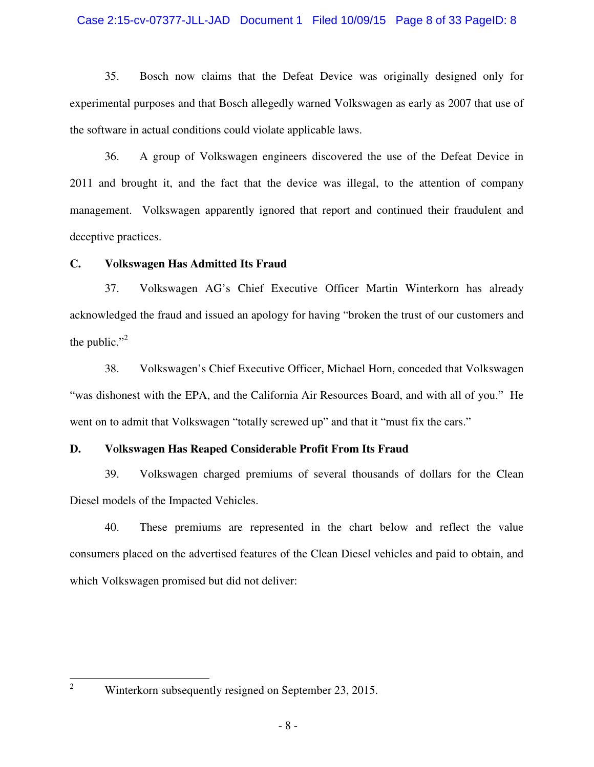### Case 2:15-cv-07377-JLL-JAD Document 1 Filed 10/09/15 Page 8 of 33 PageID: 8

35. Bosch now claims that the Defeat Device was originally designed only for experimental purposes and that Bosch allegedly warned Volkswagen as early as 2007 that use of the software in actual conditions could violate applicable laws.

36. A group of Volkswagen engineers discovered the use of the Defeat Device in 2011 and brought it, and the fact that the device was illegal, to the attention of company management. Volkswagen apparently ignored that report and continued their fraudulent and deceptive practices.

## **C. Volkswagen Has Admitted Its Fraud**

37. Volkswagen AG's Chief Executive Officer Martin Winterkorn has already acknowledged the fraud and issued an apology for having "broken the trust of our customers and the public." $\cdot$ <sup>2</sup>

38. Volkswagen's Chief Executive Officer, Michael Horn, conceded that Volkswagen "was dishonest with the EPA, and the California Air Resources Board, and with all of you." He went on to admit that Volkswagen "totally screwed up" and that it "must fix the cars."

## **D. Volkswagen Has Reaped Considerable Profit From Its Fraud**

39. Volkswagen charged premiums of several thousands of dollars for the Clean Diesel models of the Impacted Vehicles.

40. These premiums are represented in the chart below and reflect the value consumers placed on the advertised features of the Clean Diesel vehicles and paid to obtain, and which Volkswagen promised but did not deliver:

 $\frac{1}{2}$ 

Winterkorn subsequently resigned on September 23, 2015.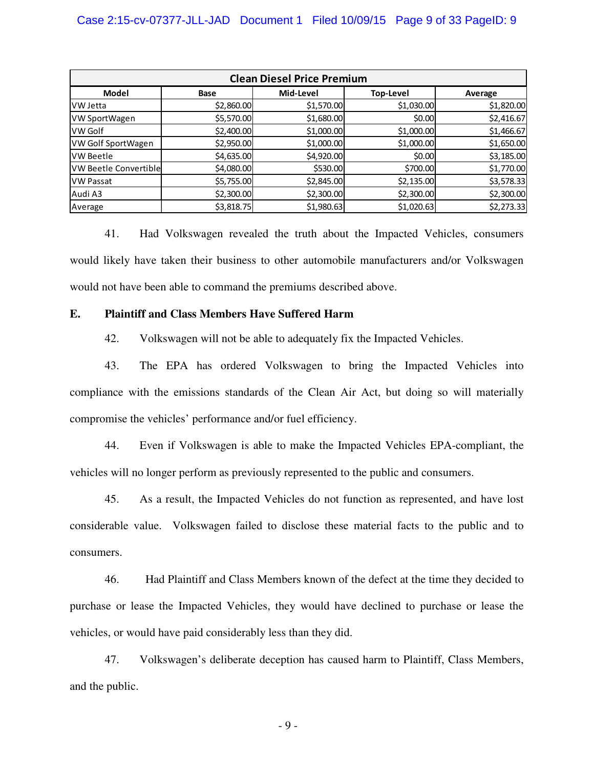| <b>Clean Diesel Price Premium</b> |             |            |                  |            |  |  |
|-----------------------------------|-------------|------------|------------------|------------|--|--|
| <b>Model</b>                      | <b>Base</b> | Mid-Level  | <b>Top-Level</b> | Average    |  |  |
| IVW Jetta                         | \$2,860.00  | \$1,570.00 | \$1,030.00       | \$1,820.00 |  |  |
| VW SportWagen                     | \$5,570.00  | \$1,680.00 | \$0.00           | \$2,416.67 |  |  |
| VW Golf                           | \$2,400.00  | \$1,000.00 | \$1,000.00       | \$1,466.67 |  |  |
| <b>VW Golf SportWagen</b>         | \$2,950.00  | \$1,000.00 | \$1,000.00       | \$1,650.00 |  |  |
| lVW Beetle                        | \$4,635.00  | \$4,920.00 | \$0.00           | \$3,185.00 |  |  |
| <b>VW Beetle Convertible</b>      | \$4,080.00  | \$530.00   | \$700.00         | \$1,770.00 |  |  |
| <b>VW Passat</b>                  | \$5,755.00  | \$2,845.00 | \$2,135.00       | \$3,578.33 |  |  |
| Audi A3                           | \$2,300.00  | \$2,300.00 | \$2,300.00       | \$2,300.00 |  |  |
| Average                           | \$3,818.75  | \$1,980.63 | \$1,020.63       | \$2,273.33 |  |  |

41. Had Volkswagen revealed the truth about the Impacted Vehicles, consumers would likely have taken their business to other automobile manufacturers and/or Volkswagen would not have been able to command the premiums described above.

## **E. Plaintiff and Class Members Have Suffered Harm**

42. Volkswagen will not be able to adequately fix the Impacted Vehicles.

43. The EPA has ordered Volkswagen to bring the Impacted Vehicles into compliance with the emissions standards of the Clean Air Act, but doing so will materially compromise the vehicles' performance and/or fuel efficiency.

44. Even if Volkswagen is able to make the Impacted Vehicles EPA-compliant, the vehicles will no longer perform as previously represented to the public and consumers.

45. As a result, the Impacted Vehicles do not function as represented, and have lost considerable value. Volkswagen failed to disclose these material facts to the public and to consumers.

46. Had Plaintiff and Class Members known of the defect at the time they decided to purchase or lease the Impacted Vehicles, they would have declined to purchase or lease the vehicles, or would have paid considerably less than they did.

47. Volkswagen's deliberate deception has caused harm to Plaintiff, Class Members, and the public.

- 9 -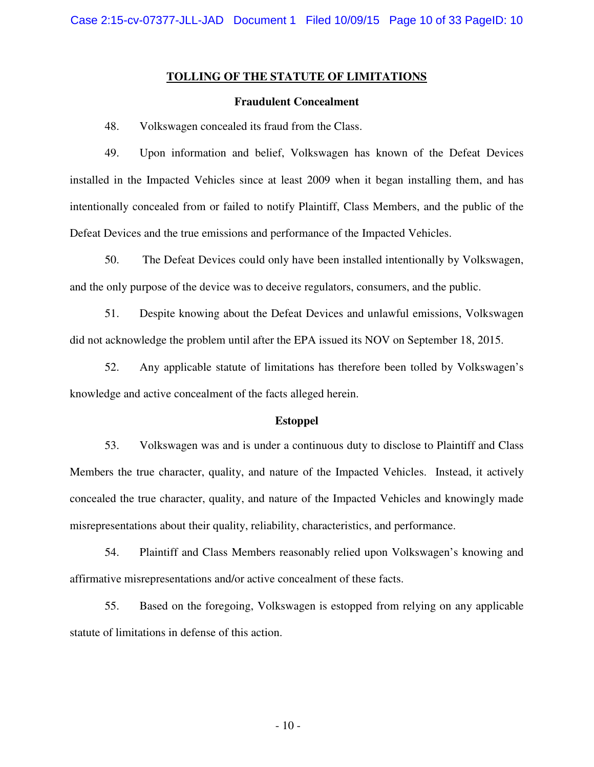#### **TOLLING OF THE STATUTE OF LIMITATIONS**

#### **Fraudulent Concealment**

48. Volkswagen concealed its fraud from the Class.

49. Upon information and belief, Volkswagen has known of the Defeat Devices installed in the Impacted Vehicles since at least 2009 when it began installing them, and has intentionally concealed from or failed to notify Plaintiff, Class Members, and the public of the Defeat Devices and the true emissions and performance of the Impacted Vehicles.

50. The Defeat Devices could only have been installed intentionally by Volkswagen, and the only purpose of the device was to deceive regulators, consumers, and the public.

51. Despite knowing about the Defeat Devices and unlawful emissions, Volkswagen did not acknowledge the problem until after the EPA issued its NOV on September 18, 2015.

52. Any applicable statute of limitations has therefore been tolled by Volkswagen's knowledge and active concealment of the facts alleged herein.

#### **Estoppel**

53. Volkswagen was and is under a continuous duty to disclose to Plaintiff and Class Members the true character, quality, and nature of the Impacted Vehicles. Instead, it actively concealed the true character, quality, and nature of the Impacted Vehicles and knowingly made misrepresentations about their quality, reliability, characteristics, and performance.

54. Plaintiff and Class Members reasonably relied upon Volkswagen's knowing and affirmative misrepresentations and/or active concealment of these facts.

55. Based on the foregoing, Volkswagen is estopped from relying on any applicable statute of limitations in defense of this action.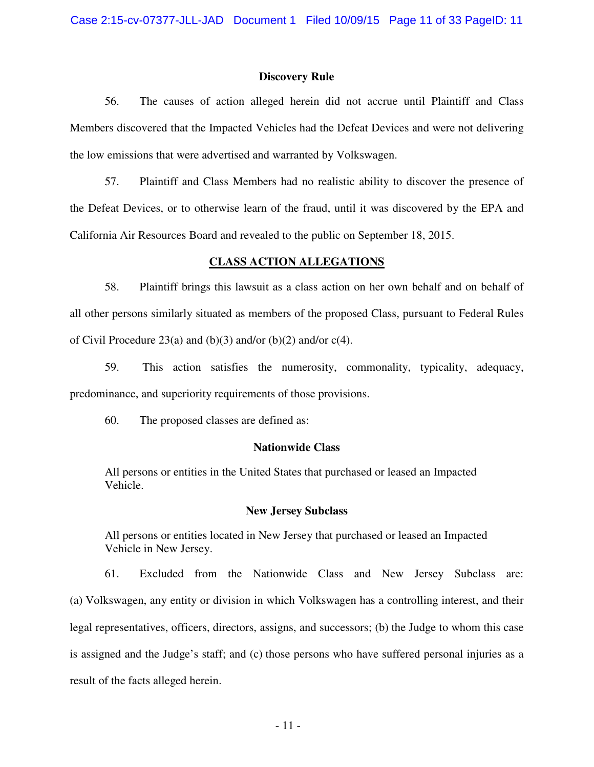#### **Discovery Rule**

56. The causes of action alleged herein did not accrue until Plaintiff and Class Members discovered that the Impacted Vehicles had the Defeat Devices and were not delivering the low emissions that were advertised and warranted by Volkswagen.

57. Plaintiff and Class Members had no realistic ability to discover the presence of the Defeat Devices, or to otherwise learn of the fraud, until it was discovered by the EPA and California Air Resources Board and revealed to the public on September 18, 2015.

### **CLASS ACTION ALLEGATIONS**

58. Plaintiff brings this lawsuit as a class action on her own behalf and on behalf of all other persons similarly situated as members of the proposed Class, pursuant to Federal Rules of Civil Procedure 23(a) and (b)(3) and/or (b)(2) and/or  $c(4)$ .

59. This action satisfies the numerosity, commonality, typicality, adequacy, predominance, and superiority requirements of those provisions.

60. The proposed classes are defined as:

## **Nationwide Class**

All persons or entities in the United States that purchased or leased an Impacted Vehicle.

#### **New Jersey Subclass**

All persons or entities located in New Jersey that purchased or leased an Impacted Vehicle in New Jersey.

61. Excluded from the Nationwide Class and New Jersey Subclass are: (a) Volkswagen, any entity or division in which Volkswagen has a controlling interest, and their legal representatives, officers, directors, assigns, and successors; (b) the Judge to whom this case is assigned and the Judge's staff; and (c) those persons who have suffered personal injuries as a result of the facts alleged herein.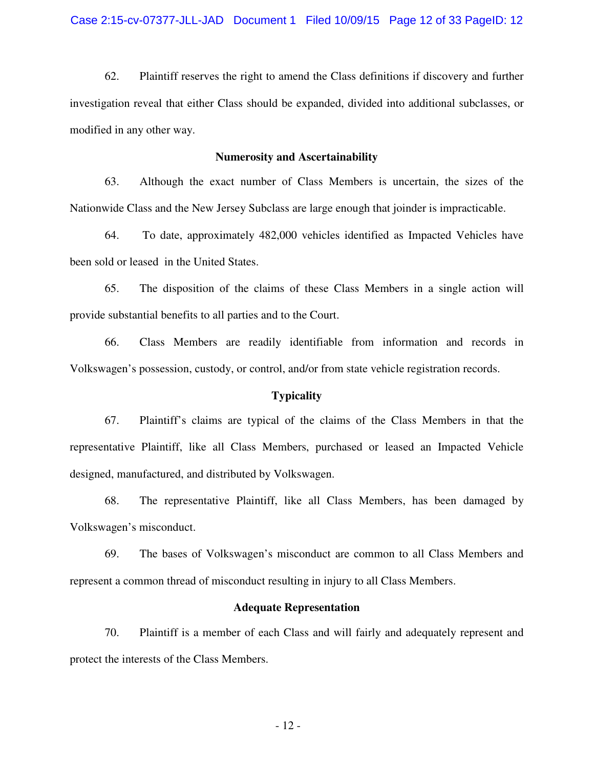62. Plaintiff reserves the right to amend the Class definitions if discovery and further investigation reveal that either Class should be expanded, divided into additional subclasses, or modified in any other way.

#### **Numerosity and Ascertainability**

63. Although the exact number of Class Members is uncertain, the sizes of the Nationwide Class and the New Jersey Subclass are large enough that joinder is impracticable.

64. To date, approximately 482,000 vehicles identified as Impacted Vehicles have been sold or leased in the United States.

65. The disposition of the claims of these Class Members in a single action will provide substantial benefits to all parties and to the Court.

66. Class Members are readily identifiable from information and records in Volkswagen's possession, custody, or control, and/or from state vehicle registration records.

#### **Typicality**

67. Plaintiff's claims are typical of the claims of the Class Members in that the representative Plaintiff, like all Class Members, purchased or leased an Impacted Vehicle designed, manufactured, and distributed by Volkswagen.

68. The representative Plaintiff, like all Class Members, has been damaged by Volkswagen's misconduct.

69. The bases of Volkswagen's misconduct are common to all Class Members and represent a common thread of misconduct resulting in injury to all Class Members.

### **Adequate Representation**

70. Plaintiff is a member of each Class and will fairly and adequately represent and protect the interests of the Class Members.

- 12 -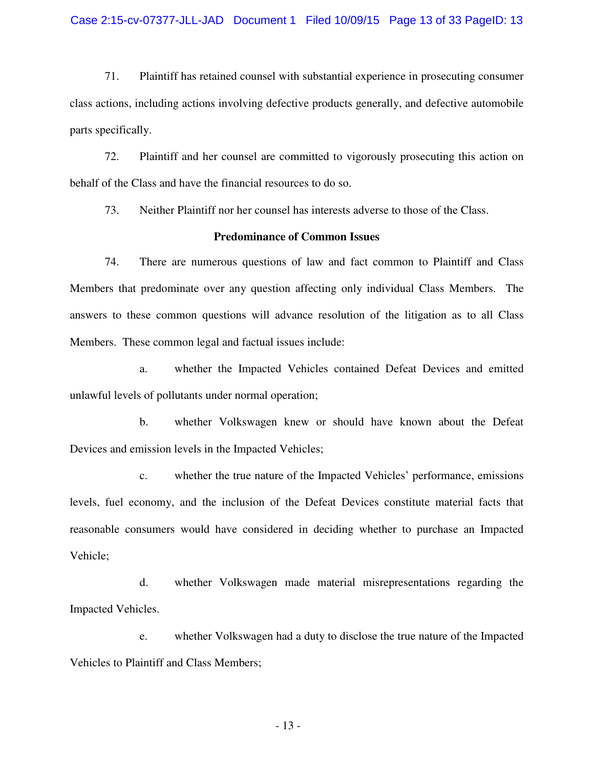#### Case 2:15-cv-07377-JLL-JAD Document 1 Filed 10/09/15 Page 13 of 33 PageID: 13

71. Plaintiff has retained counsel with substantial experience in prosecuting consumer class actions, including actions involving defective products generally, and defective automobile parts specifically.

72. Plaintiff and her counsel are committed to vigorously prosecuting this action on behalf of the Class and have the financial resources to do so.

73. Neither Plaintiff nor her counsel has interests adverse to those of the Class.

### **Predominance of Common Issues**

74. There are numerous questions of law and fact common to Plaintiff and Class Members that predominate over any question affecting only individual Class Members. The answers to these common questions will advance resolution of the litigation as to all Class Members. These common legal and factual issues include:

a. whether the Impacted Vehicles contained Defeat Devices and emitted unlawful levels of pollutants under normal operation;

b. whether Volkswagen knew or should have known about the Defeat Devices and emission levels in the Impacted Vehicles;

c. whether the true nature of the Impacted Vehicles' performance, emissions levels, fuel economy, and the inclusion of the Defeat Devices constitute material facts that reasonable consumers would have considered in deciding whether to purchase an Impacted Vehicle;

d. whether Volkswagen made material misrepresentations regarding the Impacted Vehicles.

e. whether Volkswagen had a duty to disclose the true nature of the Impacted Vehicles to Plaintiff and Class Members;

- 13 -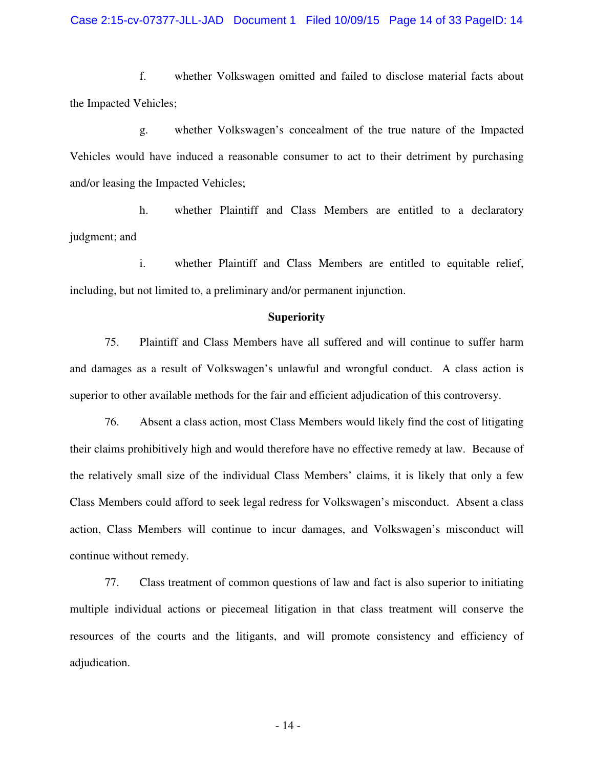f. whether Volkswagen omitted and failed to disclose material facts about the Impacted Vehicles;

g. whether Volkswagen's concealment of the true nature of the Impacted Vehicles would have induced a reasonable consumer to act to their detriment by purchasing and/or leasing the Impacted Vehicles;

h. whether Plaintiff and Class Members are entitled to a declaratory judgment; and

i. whether Plaintiff and Class Members are entitled to equitable relief, including, but not limited to, a preliminary and/or permanent injunction.

#### **Superiority**

75. Plaintiff and Class Members have all suffered and will continue to suffer harm and damages as a result of Volkswagen's unlawful and wrongful conduct. A class action is superior to other available methods for the fair and efficient adjudication of this controversy.

76. Absent a class action, most Class Members would likely find the cost of litigating their claims prohibitively high and would therefore have no effective remedy at law. Because of the relatively small size of the individual Class Members' claims, it is likely that only a few Class Members could afford to seek legal redress for Volkswagen's misconduct. Absent a class action, Class Members will continue to incur damages, and Volkswagen's misconduct will continue without remedy.

77. Class treatment of common questions of law and fact is also superior to initiating multiple individual actions or piecemeal litigation in that class treatment will conserve the resources of the courts and the litigants, and will promote consistency and efficiency of adjudication.

- 14 -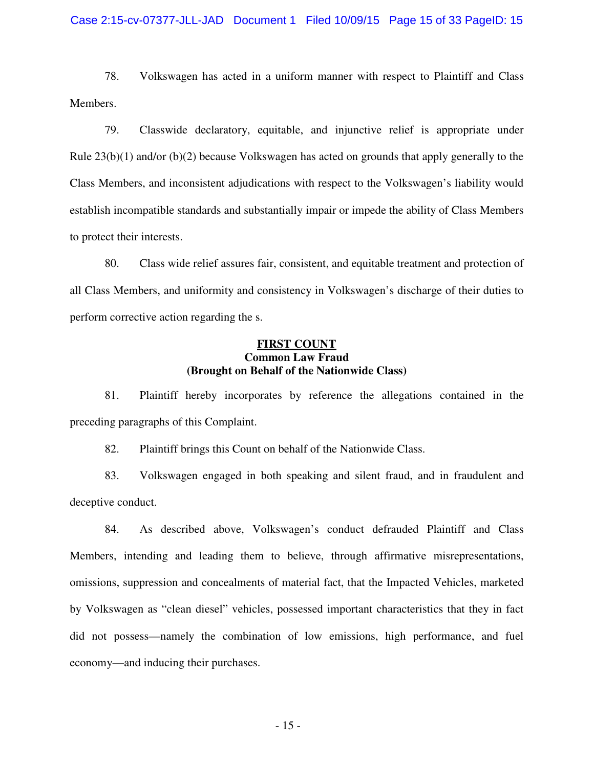#### Case 2:15-cv-07377-JLL-JAD Document 1 Filed 10/09/15 Page 15 of 33 PageID: 15

78. Volkswagen has acted in a uniform manner with respect to Plaintiff and Class Members.

79. Classwide declaratory, equitable, and injunctive relief is appropriate under Rule  $23(b)(1)$  and/or  $(b)(2)$  because Volkswagen has acted on grounds that apply generally to the Class Members, and inconsistent adjudications with respect to the Volkswagen's liability would establish incompatible standards and substantially impair or impede the ability of Class Members to protect their interests.

80. Class wide relief assures fair, consistent, and equitable treatment and protection of all Class Members, and uniformity and consistency in Volkswagen's discharge of their duties to perform corrective action regarding the s.

## **FIRST COUNT Common Law Fraud (Brought on Behalf of the Nationwide Class)**

81. Plaintiff hereby incorporates by reference the allegations contained in the preceding paragraphs of this Complaint.

82. Plaintiff brings this Count on behalf of the Nationwide Class.

83. Volkswagen engaged in both speaking and silent fraud, and in fraudulent and deceptive conduct.

84. As described above, Volkswagen's conduct defrauded Plaintiff and Class Members, intending and leading them to believe, through affirmative misrepresentations, omissions, suppression and concealments of material fact, that the Impacted Vehicles, marketed by Volkswagen as "clean diesel" vehicles, possessed important characteristics that they in fact did not possess—namely the combination of low emissions, high performance, and fuel economy—and inducing their purchases.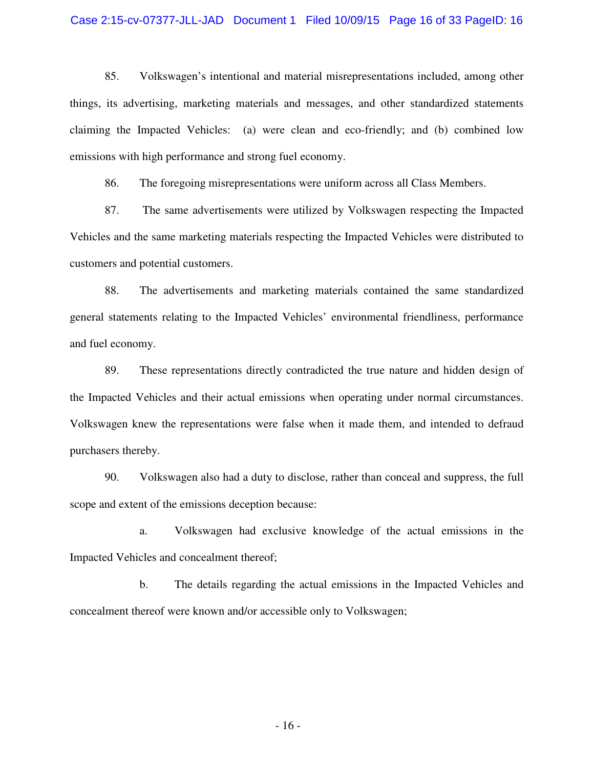#### Case 2:15-cv-07377-JLL-JAD Document 1 Filed 10/09/15 Page 16 of 33 PageID: 16

85. Volkswagen's intentional and material misrepresentations included, among other things, its advertising, marketing materials and messages, and other standardized statements claiming the Impacted Vehicles: (a) were clean and eco-friendly; and (b) combined low emissions with high performance and strong fuel economy.

86. The foregoing misrepresentations were uniform across all Class Members.

87. The same advertisements were utilized by Volkswagen respecting the Impacted Vehicles and the same marketing materials respecting the Impacted Vehicles were distributed to customers and potential customers.

88. The advertisements and marketing materials contained the same standardized general statements relating to the Impacted Vehicles' environmental friendliness, performance and fuel economy.

89. These representations directly contradicted the true nature and hidden design of the Impacted Vehicles and their actual emissions when operating under normal circumstances. Volkswagen knew the representations were false when it made them, and intended to defraud purchasers thereby.

90. Volkswagen also had a duty to disclose, rather than conceal and suppress, the full scope and extent of the emissions deception because:

a. Volkswagen had exclusive knowledge of the actual emissions in the Impacted Vehicles and concealment thereof;

b. The details regarding the actual emissions in the Impacted Vehicles and concealment thereof were known and/or accessible only to Volkswagen;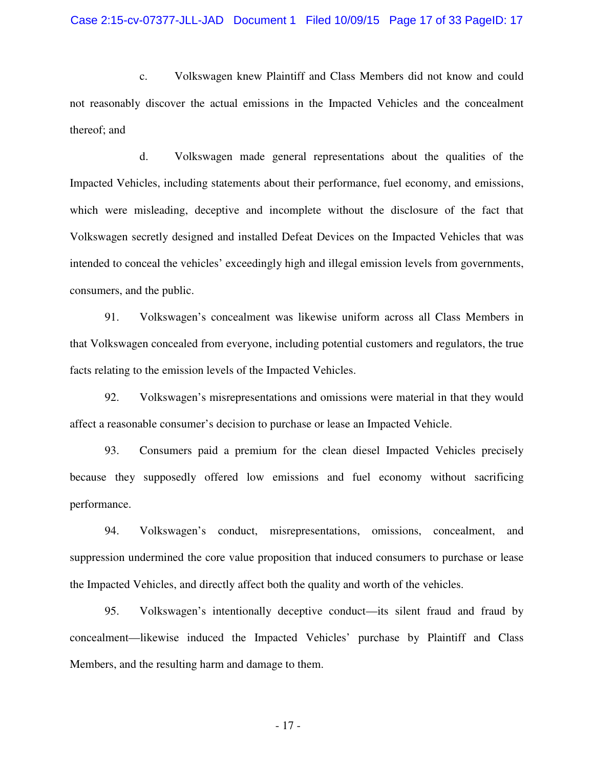c. Volkswagen knew Plaintiff and Class Members did not know and could not reasonably discover the actual emissions in the Impacted Vehicles and the concealment thereof; and

d. Volkswagen made general representations about the qualities of the Impacted Vehicles, including statements about their performance, fuel economy, and emissions, which were misleading, deceptive and incomplete without the disclosure of the fact that Volkswagen secretly designed and installed Defeat Devices on the Impacted Vehicles that was intended to conceal the vehicles' exceedingly high and illegal emission levels from governments, consumers, and the public.

91. Volkswagen's concealment was likewise uniform across all Class Members in that Volkswagen concealed from everyone, including potential customers and regulators, the true facts relating to the emission levels of the Impacted Vehicles.

92. Volkswagen's misrepresentations and omissions were material in that they would affect a reasonable consumer's decision to purchase or lease an Impacted Vehicle.

93. Consumers paid a premium for the clean diesel Impacted Vehicles precisely because they supposedly offered low emissions and fuel economy without sacrificing performance.

94. Volkswagen's conduct, misrepresentations, omissions, concealment, and suppression undermined the core value proposition that induced consumers to purchase or lease the Impacted Vehicles, and directly affect both the quality and worth of the vehicles.

95. Volkswagen's intentionally deceptive conduct—its silent fraud and fraud by concealment—likewise induced the Impacted Vehicles' purchase by Plaintiff and Class Members, and the resulting harm and damage to them.

- 17 -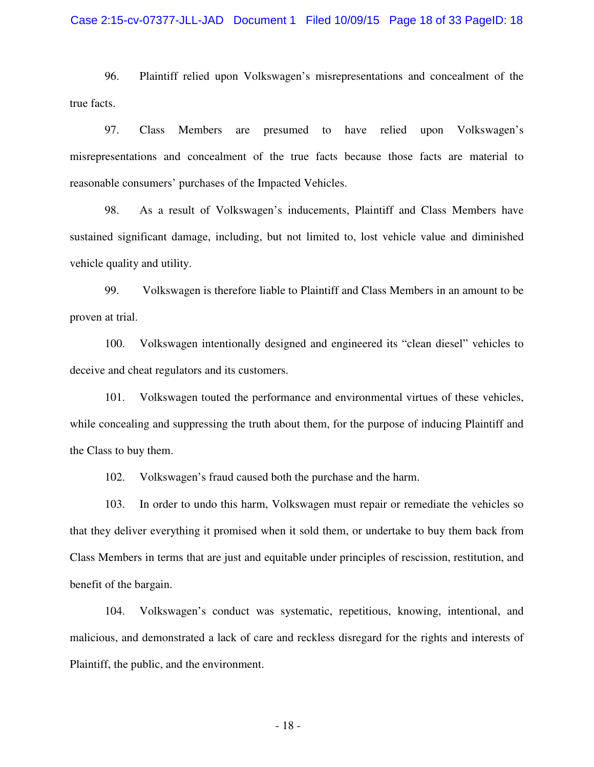#### Case 2:15-cv-07377-JLL-JAD Document 1 Filed 10/09/15 Page 18 of 33 PageID: 18

96. Plaintiff relied upon Volkswagen's misrepresentations and concealment of the true facts.

97. Class Members are presumed to have relied upon Volkswagen's misrepresentations and concealment of the true facts because those facts are material to reasonable consumers' purchases of the Impacted Vehicles.

98. As a result of Volkswagen's inducements, Plaintiff and Class Members have sustained significant damage, including, but not limited to, lost vehicle value and diminished vehicle quality and utility.

99. Volkswagen is therefore liable to Plaintiff and Class Members in an amount to be proven at trial.

100. Volkswagen intentionally designed and engineered its "clean diesel" vehicles to deceive and cheat regulators and its customers.

101. Volkswagen touted the performance and environmental virtues of these vehicles, while concealing and suppressing the truth about them, for the purpose of inducing Plaintiff and the Class to buy them.

102. Volkswagen's fraud caused both the purchase and the harm.

103. In order to undo this harm, Volkswagen must repair or remediate the vehicles so that they deliver everything it promised when it sold them, or undertake to buy them back from Class Members in terms that are just and equitable under principles of rescission, restitution, and benefit of the bargain.

104. Volkswagen's conduct was systematic, repetitious, knowing, intentional, and malicious, and demonstrated a lack of care and reckless disregard for the rights and interests of Plaintiff, the public, and the environment.

- 18 -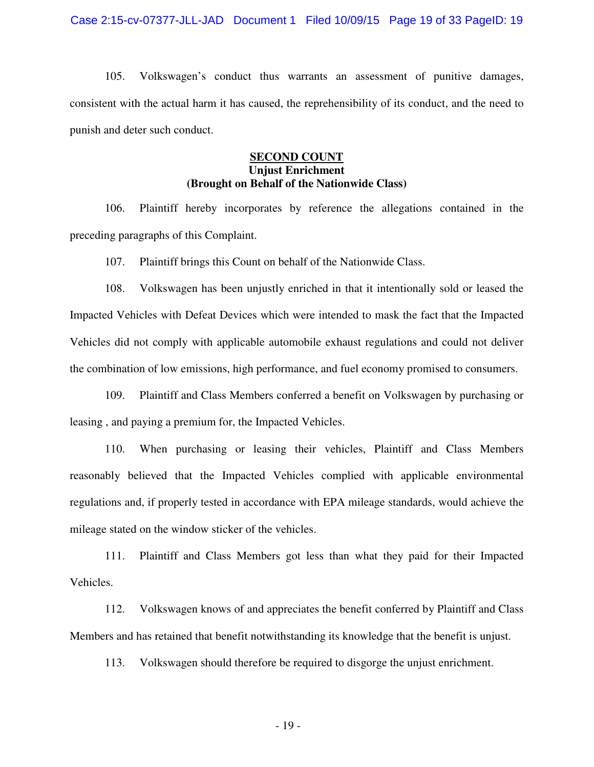105. Volkswagen's conduct thus warrants an assessment of punitive damages, consistent with the actual harm it has caused, the reprehensibility of its conduct, and the need to punish and deter such conduct.

## **SECOND COUNT Unjust Enrichment (Brought on Behalf of the Nationwide Class)**

106. Plaintiff hereby incorporates by reference the allegations contained in the preceding paragraphs of this Complaint.

107. Plaintiff brings this Count on behalf of the Nationwide Class.

108. Volkswagen has been unjustly enriched in that it intentionally sold or leased the Impacted Vehicles with Defeat Devices which were intended to mask the fact that the Impacted Vehicles did not comply with applicable automobile exhaust regulations and could not deliver the combination of low emissions, high performance, and fuel economy promised to consumers.

109. Plaintiff and Class Members conferred a benefit on Volkswagen by purchasing or leasing , and paying a premium for, the Impacted Vehicles.

110. When purchasing or leasing their vehicles, Plaintiff and Class Members reasonably believed that the Impacted Vehicles complied with applicable environmental regulations and, if properly tested in accordance with EPA mileage standards, would achieve the mileage stated on the window sticker of the vehicles.

111. Plaintiff and Class Members got less than what they paid for their Impacted Vehicles.

112. Volkswagen knows of and appreciates the benefit conferred by Plaintiff and Class Members and has retained that benefit notwithstanding its knowledge that the benefit is unjust.

113. Volkswagen should therefore be required to disgorge the unjust enrichment.

- 19 -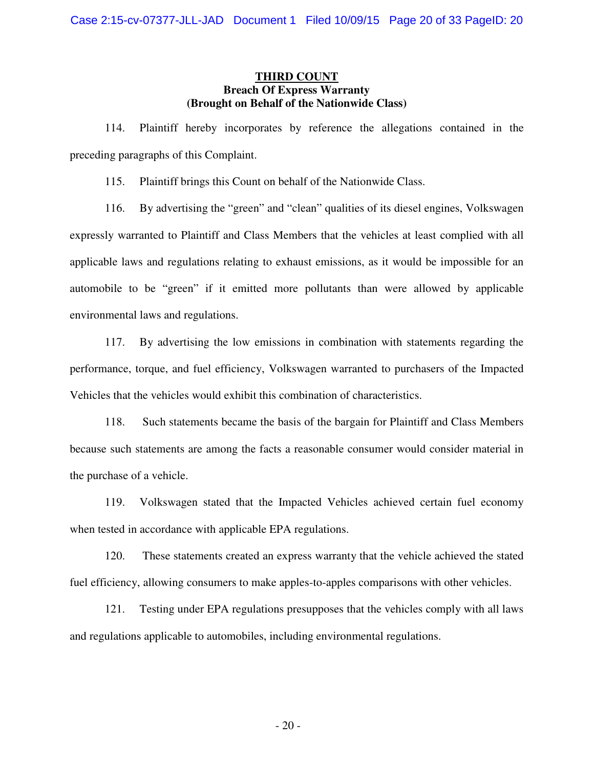## **THIRD COUNT Breach Of Express Warranty (Brought on Behalf of the Nationwide Class)**

114. Plaintiff hereby incorporates by reference the allegations contained in the preceding paragraphs of this Complaint.

115. Plaintiff brings this Count on behalf of the Nationwide Class.

116. By advertising the "green" and "clean" qualities of its diesel engines, Volkswagen expressly warranted to Plaintiff and Class Members that the vehicles at least complied with all applicable laws and regulations relating to exhaust emissions, as it would be impossible for an automobile to be "green" if it emitted more pollutants than were allowed by applicable environmental laws and regulations.

117. By advertising the low emissions in combination with statements regarding the performance, torque, and fuel efficiency, Volkswagen warranted to purchasers of the Impacted Vehicles that the vehicles would exhibit this combination of characteristics.

118. Such statements became the basis of the bargain for Plaintiff and Class Members because such statements are among the facts a reasonable consumer would consider material in the purchase of a vehicle.

119. Volkswagen stated that the Impacted Vehicles achieved certain fuel economy when tested in accordance with applicable EPA regulations.

120. These statements created an express warranty that the vehicle achieved the stated fuel efficiency, allowing consumers to make apples-to-apples comparisons with other vehicles.

121. Testing under EPA regulations presupposes that the vehicles comply with all laws and regulations applicable to automobiles, including environmental regulations.

- 20 -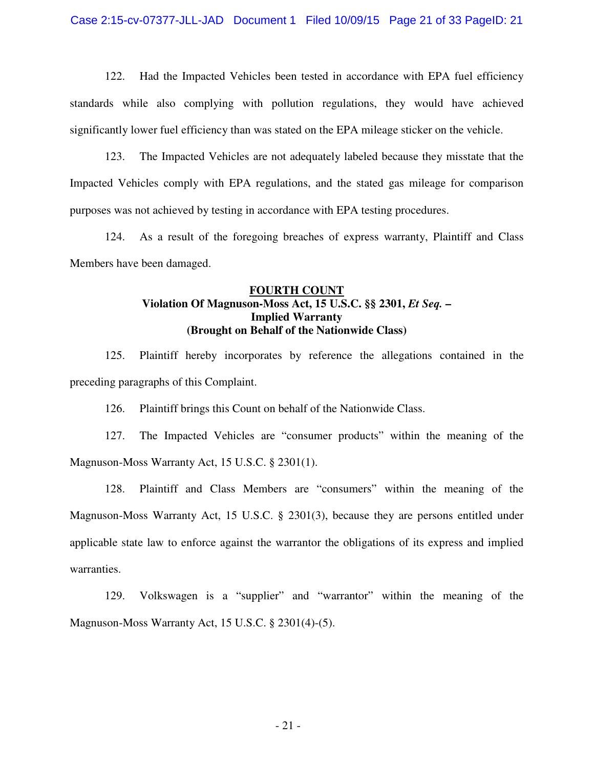Case 2:15-cv-07377-JLL-JAD Document 1 Filed 10/09/15 Page 21 of 33 PageID: 21

122. Had the Impacted Vehicles been tested in accordance with EPA fuel efficiency standards while also complying with pollution regulations, they would have achieved significantly lower fuel efficiency than was stated on the EPA mileage sticker on the vehicle.

123. The Impacted Vehicles are not adequately labeled because they misstate that the Impacted Vehicles comply with EPA regulations, and the stated gas mileage for comparison purposes was not achieved by testing in accordance with EPA testing procedures.

124. As a result of the foregoing breaches of express warranty, Plaintiff and Class Members have been damaged.

## **FOURTH COUNT Violation Of Magnuson-Moss Act, 15 U.S.C. §§ 2301,** *Et Seq.* **– Implied Warranty (Brought on Behalf of the Nationwide Class)**

125. Plaintiff hereby incorporates by reference the allegations contained in the preceding paragraphs of this Complaint.

126. Plaintiff brings this Count on behalf of the Nationwide Class.

127. The Impacted Vehicles are "consumer products" within the meaning of the Magnuson-Moss Warranty Act, 15 U.S.C. § 2301(1).

128. Plaintiff and Class Members are "consumers" within the meaning of the Magnuson-Moss Warranty Act, 15 U.S.C. § 2301(3), because they are persons entitled under applicable state law to enforce against the warrantor the obligations of its express and implied warranties.

129. Volkswagen is a "supplier" and "warrantor" within the meaning of the Magnuson-Moss Warranty Act, 15 U.S.C. § 2301(4)-(5).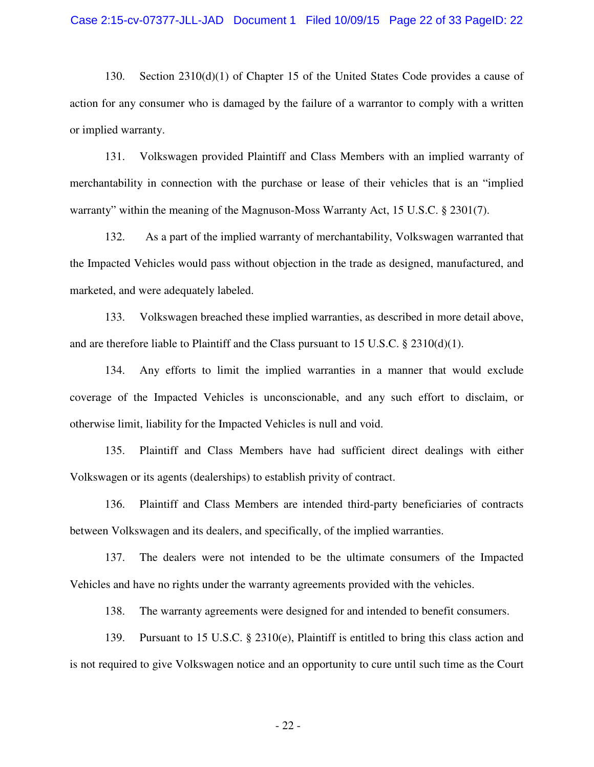130. Section 2310(d)(1) of Chapter 15 of the United States Code provides a cause of action for any consumer who is damaged by the failure of a warrantor to comply with a written or implied warranty.

131. Volkswagen provided Plaintiff and Class Members with an implied warranty of merchantability in connection with the purchase or lease of their vehicles that is an "implied warranty" within the meaning of the Magnuson-Moss Warranty Act, 15 U.S.C. § 2301(7).

132. As a part of the implied warranty of merchantability, Volkswagen warranted that the Impacted Vehicles would pass without objection in the trade as designed, manufactured, and marketed, and were adequately labeled.

133. Volkswagen breached these implied warranties, as described in more detail above, and are therefore liable to Plaintiff and the Class pursuant to 15 U.S.C. § 2310(d)(1).

134. Any efforts to limit the implied warranties in a manner that would exclude coverage of the Impacted Vehicles is unconscionable, and any such effort to disclaim, or otherwise limit, liability for the Impacted Vehicles is null and void.

135. Plaintiff and Class Members have had sufficient direct dealings with either Volkswagen or its agents (dealerships) to establish privity of contract.

136. Plaintiff and Class Members are intended third-party beneficiaries of contracts between Volkswagen and its dealers, and specifically, of the implied warranties.

137. The dealers were not intended to be the ultimate consumers of the Impacted Vehicles and have no rights under the warranty agreements provided with the vehicles.

138. The warranty agreements were designed for and intended to benefit consumers.

139. Pursuant to 15 U.S.C. § 2310(e), Plaintiff is entitled to bring this class action and is not required to give Volkswagen notice and an opportunity to cure until such time as the Court

- 22 -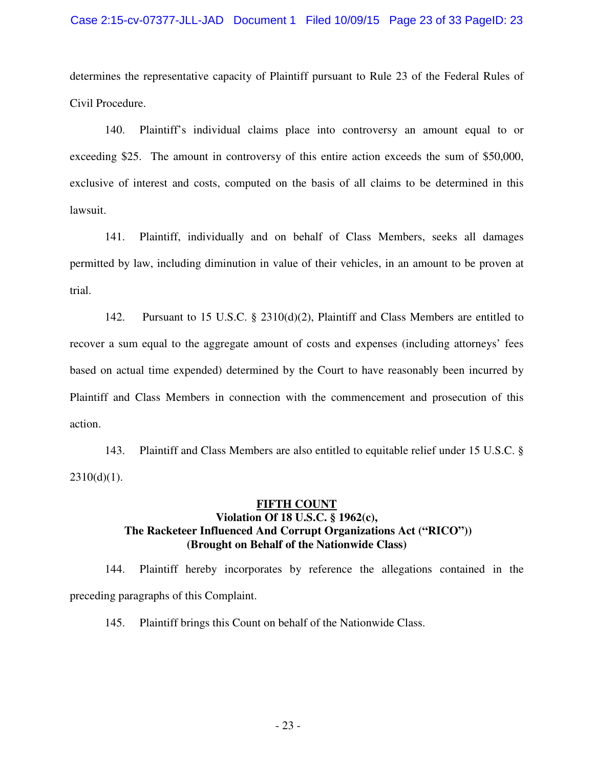#### Case 2:15-cv-07377-JLL-JAD Document 1 Filed 10/09/15 Page 23 of 33 PageID: 23

determines the representative capacity of Plaintiff pursuant to Rule 23 of the Federal Rules of Civil Procedure.

140. Plaintiff's individual claims place into controversy an amount equal to or exceeding \$25. The amount in controversy of this entire action exceeds the sum of \$50,000, exclusive of interest and costs, computed on the basis of all claims to be determined in this lawsuit.

141. Plaintiff, individually and on behalf of Class Members, seeks all damages permitted by law, including diminution in value of their vehicles, in an amount to be proven at trial.

142. Pursuant to 15 U.S.C. § 2310(d)(2), Plaintiff and Class Members are entitled to recover a sum equal to the aggregate amount of costs and expenses (including attorneys' fees based on actual time expended) determined by the Court to have reasonably been incurred by Plaintiff and Class Members in connection with the commencement and prosecution of this action.

143. Plaintiff and Class Members are also entitled to equitable relief under 15 U.S.C. §  $2310(d)(1)$ .

## **FIFTH COUNT Violation Of 18 U.S.C. § 1962(c), The Racketeer Influenced And Corrupt Organizations Act ("RICO")) (Brought on Behalf of the Nationwide Class)**

144. Plaintiff hereby incorporates by reference the allegations contained in the preceding paragraphs of this Complaint.

145. Plaintiff brings this Count on behalf of the Nationwide Class.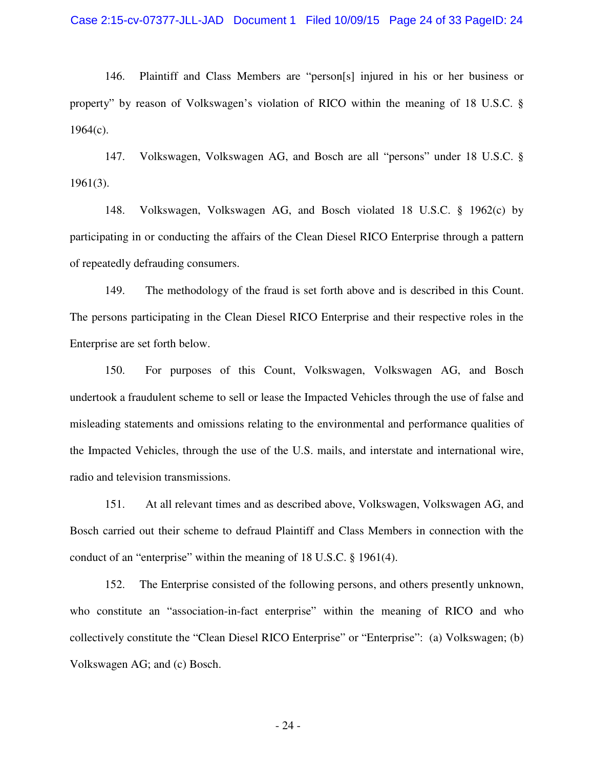146. Plaintiff and Class Members are "person[s] injured in his or her business or property" by reason of Volkswagen's violation of RICO within the meaning of 18 U.S.C. §  $1964(c)$ .

147. Volkswagen, Volkswagen AG, and Bosch are all "persons" under 18 U.S.C. § 1961(3).

148. Volkswagen, Volkswagen AG, and Bosch violated 18 U.S.C. § 1962(c) by participating in or conducting the affairs of the Clean Diesel RICO Enterprise through a pattern of repeatedly defrauding consumers.

149. The methodology of the fraud is set forth above and is described in this Count. The persons participating in the Clean Diesel RICO Enterprise and their respective roles in the Enterprise are set forth below.

150. For purposes of this Count, Volkswagen, Volkswagen AG, and Bosch undertook a fraudulent scheme to sell or lease the Impacted Vehicles through the use of false and misleading statements and omissions relating to the environmental and performance qualities of the Impacted Vehicles, through the use of the U.S. mails, and interstate and international wire, radio and television transmissions.

151. At all relevant times and as described above, Volkswagen, Volkswagen AG, and Bosch carried out their scheme to defraud Plaintiff and Class Members in connection with the conduct of an "enterprise" within the meaning of 18 U.S.C. § 1961(4).

152. The Enterprise consisted of the following persons, and others presently unknown, who constitute an "association-in-fact enterprise" within the meaning of RICO and who collectively constitute the "Clean Diesel RICO Enterprise" or "Enterprise": (a) Volkswagen; (b) Volkswagen AG; and (c) Bosch.

- 24 -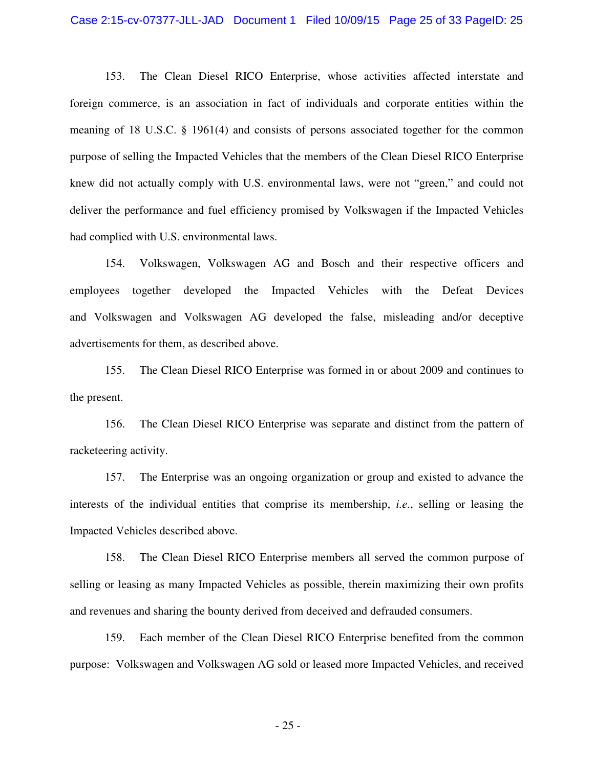#### Case 2:15-cv-07377-JLL-JAD Document 1 Filed 10/09/15 Page 25 of 33 PageID: 25

153. The Clean Diesel RICO Enterprise, whose activities affected interstate and foreign commerce, is an association in fact of individuals and corporate entities within the meaning of 18 U.S.C. § 1961(4) and consists of persons associated together for the common purpose of selling the Impacted Vehicles that the members of the Clean Diesel RICO Enterprise knew did not actually comply with U.S. environmental laws, were not "green," and could not deliver the performance and fuel efficiency promised by Volkswagen if the Impacted Vehicles had complied with U.S. environmental laws.

154. Volkswagen, Volkswagen AG and Bosch and their respective officers and employees together developed the Impacted Vehicles with the Defeat Devices and Volkswagen and Volkswagen AG developed the false, misleading and/or deceptive advertisements for them, as described above.

155. The Clean Diesel RICO Enterprise was formed in or about 2009 and continues to the present.

156. The Clean Diesel RICO Enterprise was separate and distinct from the pattern of racketeering activity.

157. The Enterprise was an ongoing organization or group and existed to advance the interests of the individual entities that comprise its membership, *i.e*., selling or leasing the Impacted Vehicles described above.

158. The Clean Diesel RICO Enterprise members all served the common purpose of selling or leasing as many Impacted Vehicles as possible, therein maximizing their own profits and revenues and sharing the bounty derived from deceived and defrauded consumers.

159. Each member of the Clean Diesel RICO Enterprise benefited from the common purpose: Volkswagen and Volkswagen AG sold or leased more Impacted Vehicles, and received

- 25 -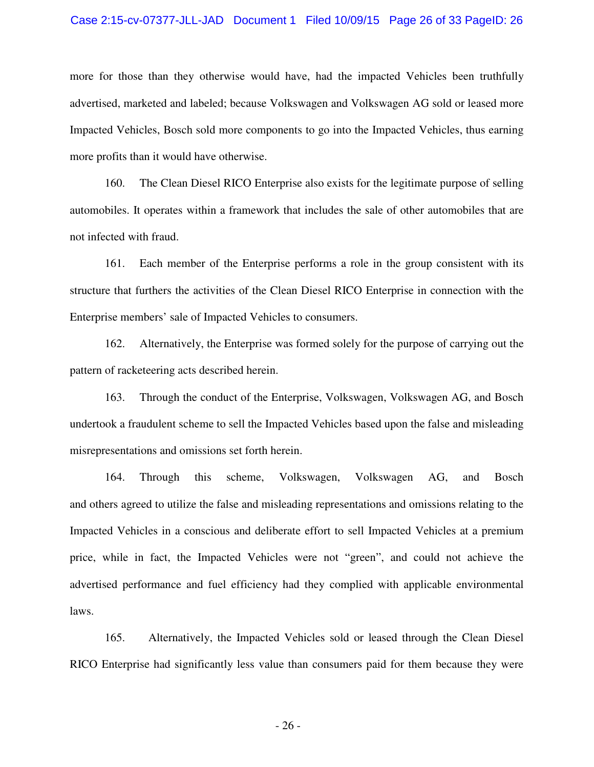#### Case 2:15-cv-07377-JLL-JAD Document 1 Filed 10/09/15 Page 26 of 33 PageID: 26

more for those than they otherwise would have, had the impacted Vehicles been truthfully advertised, marketed and labeled; because Volkswagen and Volkswagen AG sold or leased more Impacted Vehicles, Bosch sold more components to go into the Impacted Vehicles, thus earning more profits than it would have otherwise.

160. The Clean Diesel RICO Enterprise also exists for the legitimate purpose of selling automobiles. It operates within a framework that includes the sale of other automobiles that are not infected with fraud.

161. Each member of the Enterprise performs a role in the group consistent with its structure that furthers the activities of the Clean Diesel RICO Enterprise in connection with the Enterprise members' sale of Impacted Vehicles to consumers.

162. Alternatively, the Enterprise was formed solely for the purpose of carrying out the pattern of racketeering acts described herein.

163. Through the conduct of the Enterprise, Volkswagen, Volkswagen AG, and Bosch undertook a fraudulent scheme to sell the Impacted Vehicles based upon the false and misleading misrepresentations and omissions set forth herein.

164. Through this scheme, Volkswagen, Volkswagen AG, and Bosch and others agreed to utilize the false and misleading representations and omissions relating to the Impacted Vehicles in a conscious and deliberate effort to sell Impacted Vehicles at a premium price, while in fact, the Impacted Vehicles were not "green", and could not achieve the advertised performance and fuel efficiency had they complied with applicable environmental laws.

165. Alternatively, the Impacted Vehicles sold or leased through the Clean Diesel RICO Enterprise had significantly less value than consumers paid for them because they were

- 26 -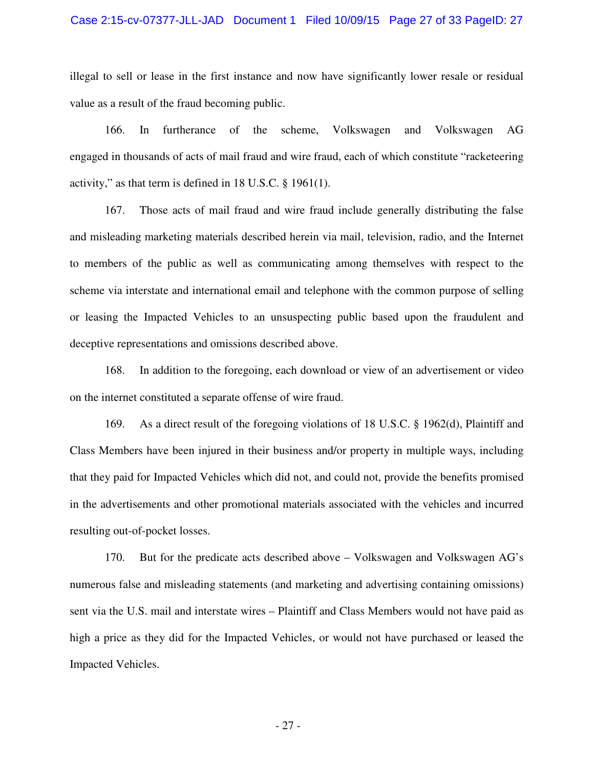#### Case 2:15-cv-07377-JLL-JAD Document 1 Filed 10/09/15 Page 27 of 33 PageID: 27

illegal to sell or lease in the first instance and now have significantly lower resale or residual value as a result of the fraud becoming public.

166. In furtherance of the scheme, Volkswagen and Volkswagen AG engaged in thousands of acts of mail fraud and wire fraud, each of which constitute "racketeering activity," as that term is defined in 18 U.S.C. § 1961(1).

167. Those acts of mail fraud and wire fraud include generally distributing the false and misleading marketing materials described herein via mail, television, radio, and the Internet to members of the public as well as communicating among themselves with respect to the scheme via interstate and international email and telephone with the common purpose of selling or leasing the Impacted Vehicles to an unsuspecting public based upon the fraudulent and deceptive representations and omissions described above.

168. In addition to the foregoing, each download or view of an advertisement or video on the internet constituted a separate offense of wire fraud.

169. As a direct result of the foregoing violations of 18 U.S.C. § 1962(d), Plaintiff and Class Members have been injured in their business and/or property in multiple ways, including that they paid for Impacted Vehicles which did not, and could not, provide the benefits promised in the advertisements and other promotional materials associated with the vehicles and incurred resulting out-of-pocket losses.

170. But for the predicate acts described above – Volkswagen and Volkswagen AG's numerous false and misleading statements (and marketing and advertising containing omissions) sent via the U.S. mail and interstate wires – Plaintiff and Class Members would not have paid as high a price as they did for the Impacted Vehicles, or would not have purchased or leased the Impacted Vehicles.

- 27 -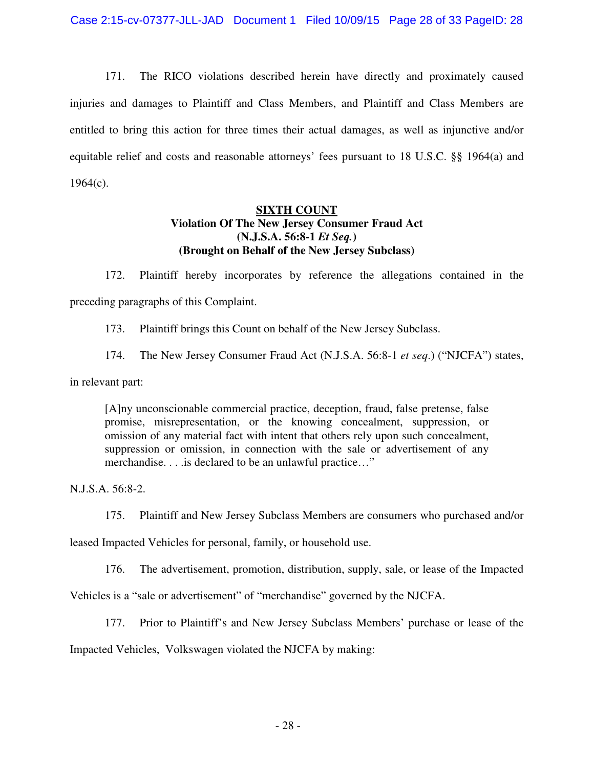171. The RICO violations described herein have directly and proximately caused injuries and damages to Plaintiff and Class Members, and Plaintiff and Class Members are entitled to bring this action for three times their actual damages, as well as injunctive and/or equitable relief and costs and reasonable attorneys' fees pursuant to 18 U.S.C. §§ 1964(a) and  $1964(c)$ .

## **SIXTH COUNT Violation Of The New Jersey Consumer Fraud Act (N.J.S.A. 56:8-1** *Et Seq.***) (Brought on Behalf of the New Jersey Subclass)**

172. Plaintiff hereby incorporates by reference the allegations contained in the preceding paragraphs of this Complaint.

173. Plaintiff brings this Count on behalf of the New Jersey Subclass.

174. The New Jersey Consumer Fraud Act (N.J.S.A. 56:8-1 *et seq*.) ("NJCFA") states,

in relevant part:

[A]ny unconscionable commercial practice, deception, fraud, false pretense, false promise, misrepresentation, or the knowing concealment, suppression, or omission of any material fact with intent that others rely upon such concealment, suppression or omission, in connection with the sale or advertisement of any merchandise. . . .is declared to be an unlawful practice…"

N.J.S.A. 56:8-2.

175. Plaintiff and New Jersey Subclass Members are consumers who purchased and/or

leased Impacted Vehicles for personal, family, or household use.

176. The advertisement, promotion, distribution, supply, sale, or lease of the Impacted

Vehicles is a "sale or advertisement" of "merchandise" governed by the NJCFA.

177. Prior to Plaintiff's and New Jersey Subclass Members' purchase or lease of the

Impacted Vehicles, Volkswagen violated the NJCFA by making: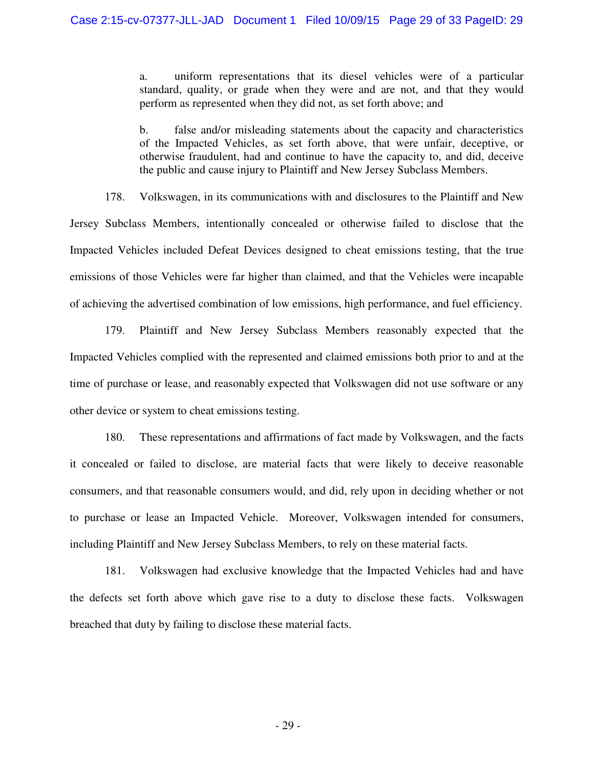a. uniform representations that its diesel vehicles were of a particular standard, quality, or grade when they were and are not, and that they would perform as represented when they did not, as set forth above; and

b. false and/or misleading statements about the capacity and characteristics of the Impacted Vehicles, as set forth above, that were unfair, deceptive, or otherwise fraudulent, had and continue to have the capacity to, and did, deceive the public and cause injury to Plaintiff and New Jersey Subclass Members.

178. Volkswagen, in its communications with and disclosures to the Plaintiff and New Jersey Subclass Members, intentionally concealed or otherwise failed to disclose that the Impacted Vehicles included Defeat Devices designed to cheat emissions testing, that the true emissions of those Vehicles were far higher than claimed, and that the Vehicles were incapable of achieving the advertised combination of low emissions, high performance, and fuel efficiency.

179. Plaintiff and New Jersey Subclass Members reasonably expected that the Impacted Vehicles complied with the represented and claimed emissions both prior to and at the time of purchase or lease, and reasonably expected that Volkswagen did not use software or any other device or system to cheat emissions testing.

180. These representations and affirmations of fact made by Volkswagen, and the facts it concealed or failed to disclose, are material facts that were likely to deceive reasonable consumers, and that reasonable consumers would, and did, rely upon in deciding whether or not to purchase or lease an Impacted Vehicle. Moreover, Volkswagen intended for consumers, including Plaintiff and New Jersey Subclass Members, to rely on these material facts.

181. Volkswagen had exclusive knowledge that the Impacted Vehicles had and have the defects set forth above which gave rise to a duty to disclose these facts. Volkswagen breached that duty by failing to disclose these material facts.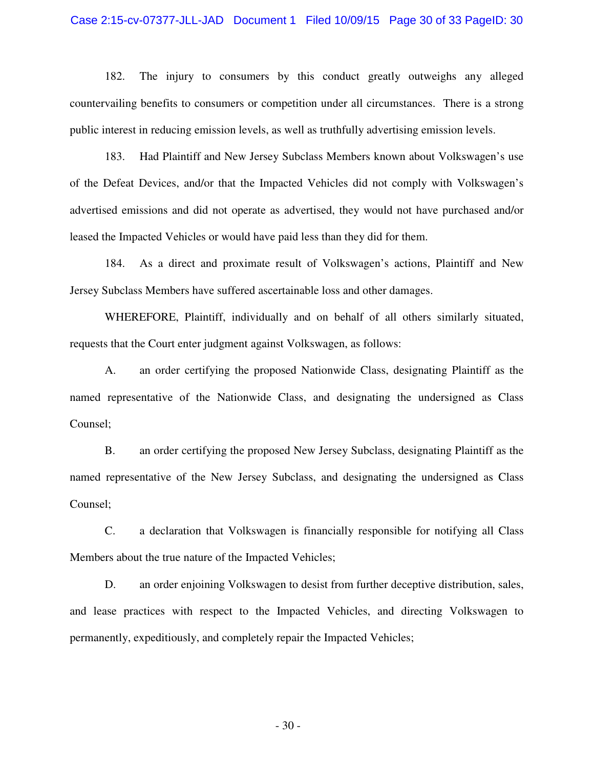#### Case 2:15-cv-07377-JLL-JAD Document 1 Filed 10/09/15 Page 30 of 33 PageID: 30

182. The injury to consumers by this conduct greatly outweighs any alleged countervailing benefits to consumers or competition under all circumstances. There is a strong public interest in reducing emission levels, as well as truthfully advertising emission levels.

183. Had Plaintiff and New Jersey Subclass Members known about Volkswagen's use of the Defeat Devices, and/or that the Impacted Vehicles did not comply with Volkswagen's advertised emissions and did not operate as advertised, they would not have purchased and/or leased the Impacted Vehicles or would have paid less than they did for them.

184. As a direct and proximate result of Volkswagen's actions, Plaintiff and New Jersey Subclass Members have suffered ascertainable loss and other damages.

WHEREFORE, Plaintiff, individually and on behalf of all others similarly situated, requests that the Court enter judgment against Volkswagen, as follows:

A. an order certifying the proposed Nationwide Class, designating Plaintiff as the named representative of the Nationwide Class, and designating the undersigned as Class Counsel;

B. an order certifying the proposed New Jersey Subclass, designating Plaintiff as the named representative of the New Jersey Subclass, and designating the undersigned as Class Counsel;

C. a declaration that Volkswagen is financially responsible for notifying all Class Members about the true nature of the Impacted Vehicles;

D. an order enjoining Volkswagen to desist from further deceptive distribution, sales, and lease practices with respect to the Impacted Vehicles, and directing Volkswagen to permanently, expeditiously, and completely repair the Impacted Vehicles;

- 30 -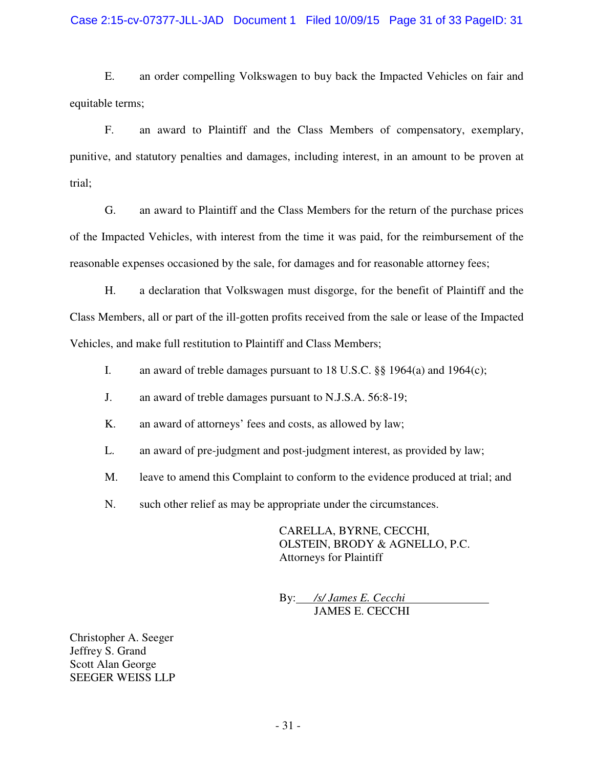### Case 2:15-cv-07377-JLL-JAD Document 1 Filed 10/09/15 Page 31 of 33 PageID: 31

E. an order compelling Volkswagen to buy back the Impacted Vehicles on fair and equitable terms;

F. an award to Plaintiff and the Class Members of compensatory, exemplary, punitive, and statutory penalties and damages, including interest, in an amount to be proven at trial;

G. an award to Plaintiff and the Class Members for the return of the purchase prices of the Impacted Vehicles, with interest from the time it was paid, for the reimbursement of the reasonable expenses occasioned by the sale, for damages and for reasonable attorney fees;

H. a declaration that Volkswagen must disgorge, for the benefit of Plaintiff and the Class Members, all or part of the ill-gotten profits received from the sale or lease of the Impacted Vehicles, and make full restitution to Plaintiff and Class Members;

- I. an award of treble damages pursuant to 18 U.S.C. §§ 1964(a) and 1964(c);
- J. an award of treble damages pursuant to N.J.S.A. 56:8-19;
- K. an award of attorneys' fees and costs, as allowed by law;
- L. an award of pre-judgment and post-judgment interest, as provided by law;
- M. leave to amend this Complaint to conform to the evidence produced at trial; and
- N. such other relief as may be appropriate under the circumstances.

CARELLA, BYRNE, CECCHI, OLSTEIN, BRODY & AGNELLO, P.C. Attorneys for Plaintiff

By: */s/ James E. Cecchi* JAMES E. CECCHI

Christopher A. Seeger Jeffrey S. Grand Scott Alan George SEEGER WEISS LLP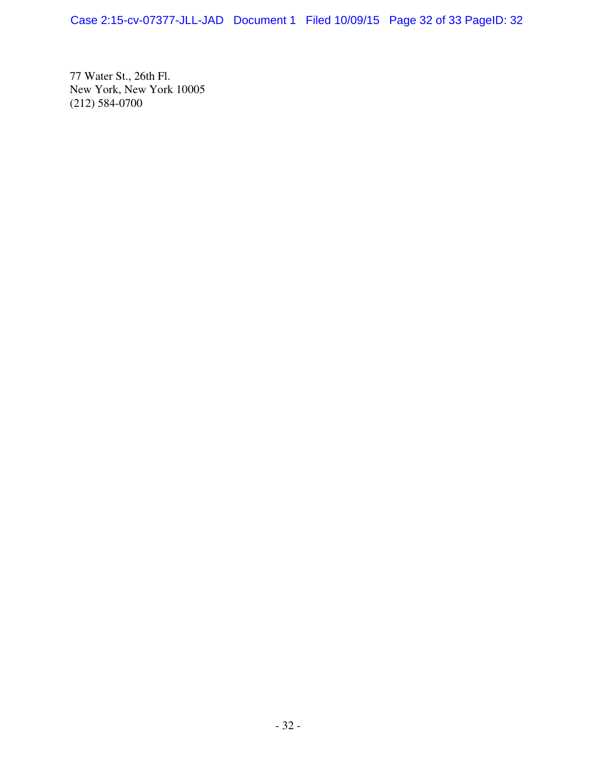Case 2:15-cv-07377-JLL-JAD Document 1 Filed 10/09/15 Page 32 of 33 PageID: 32

77 Water St., 26th Fl. New York, New York 10005 (212) 584-0700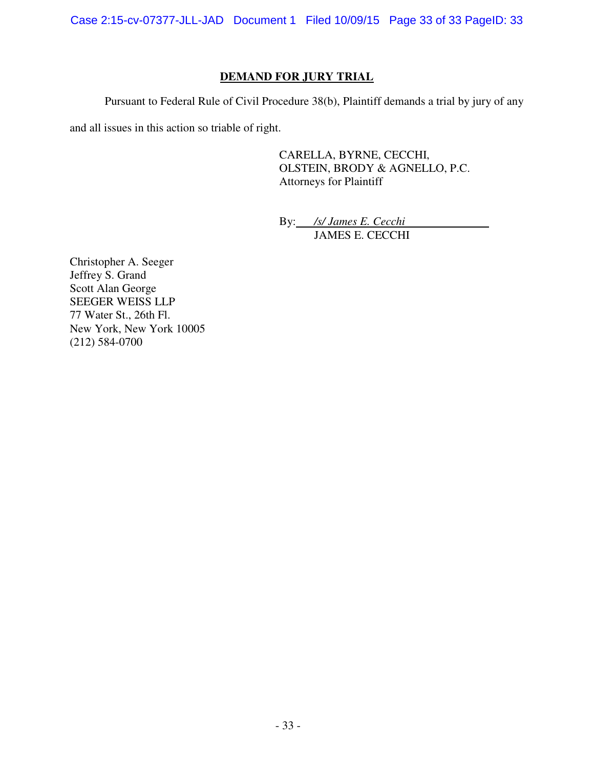Case 2:15-cv-07377-JLL-JAD Document 1 Filed 10/09/15 Page 33 of 33 PageID: 33

## **DEMAND FOR JURY TRIAL**

Pursuant to Federal Rule of Civil Procedure 38(b), Plaintiff demands a trial by jury of any

and all issues in this action so triable of right.

CARELLA, BYRNE, CECCHI, OLSTEIN, BRODY & AGNELLO, P.C. Attorneys for Plaintiff

By: */s/ James E. Cecchi* JAMES E. CECCHI

Christopher A. Seeger Jeffrey S. Grand Scott Alan George SEEGER WEISS LLP 77 Water St., 26th Fl. New York, New York 10005 (212) 584-0700